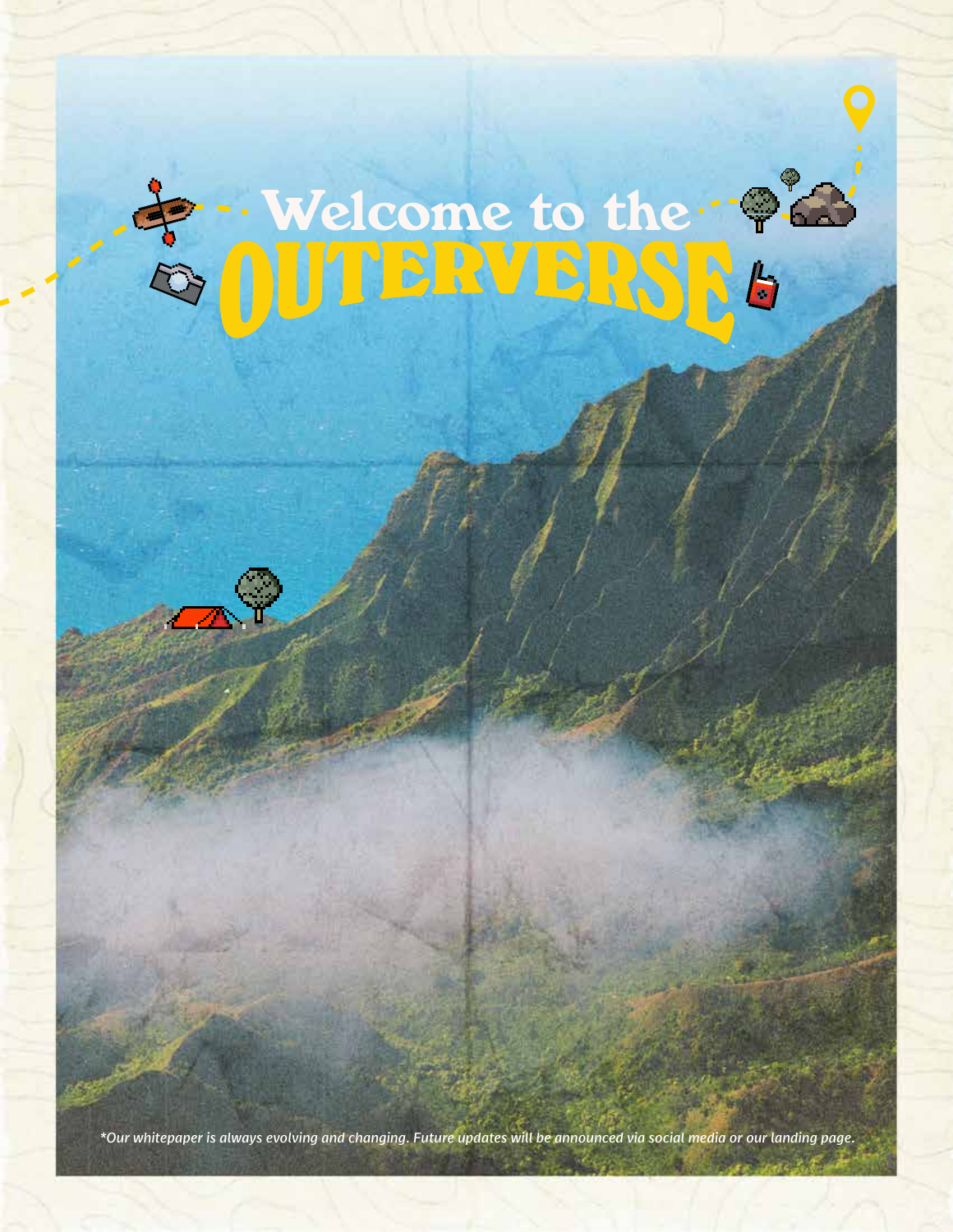# & Welcome to the ?

*\*Our whitepaper is always evolving and changing. Future updates will be announced via social media or our landing page.* 

1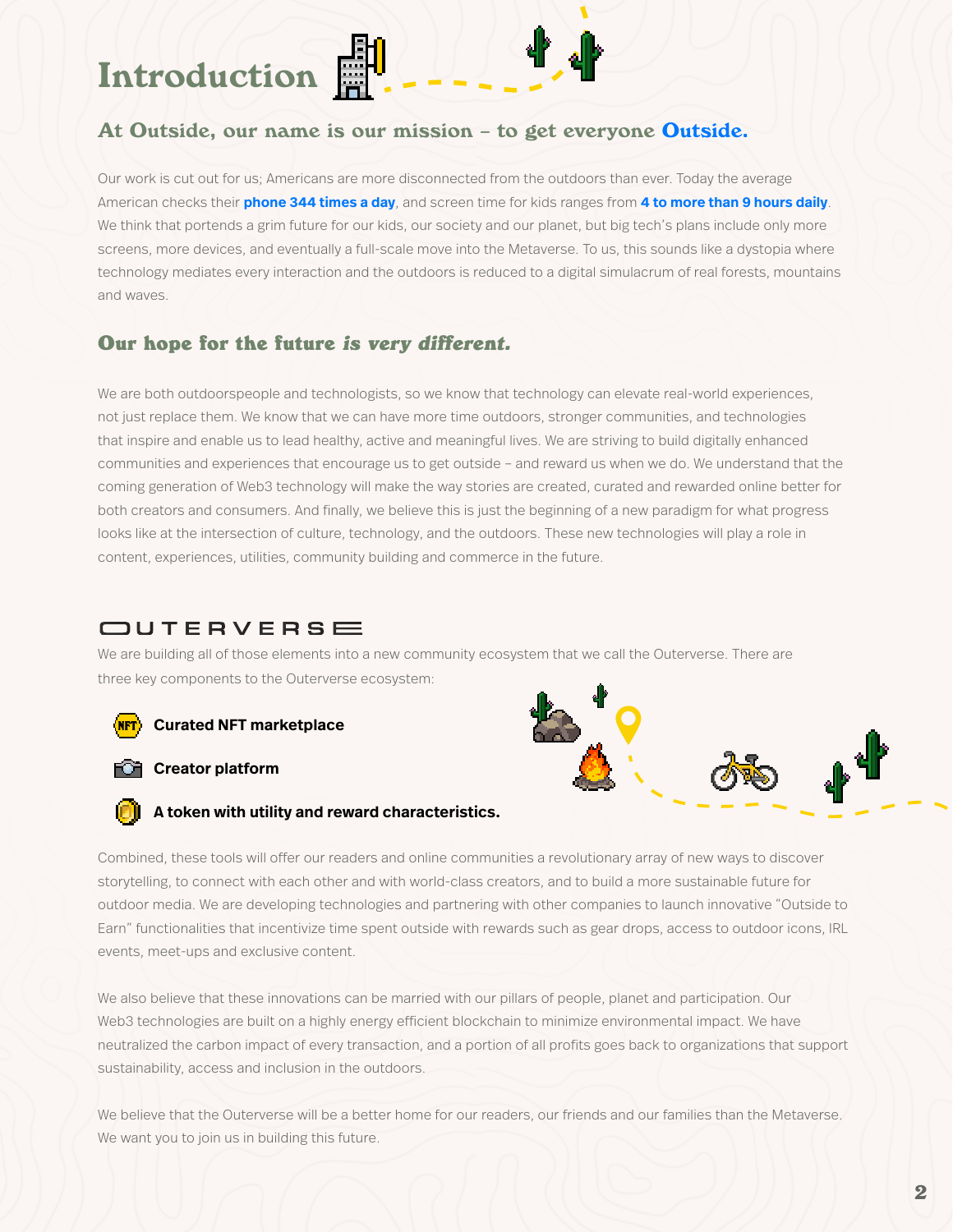Introduction

### At Outside, our name is our mission - to get everyone Outside.

Our work is cut out for us; Americans are more disconnected from the outdoors than ever. Today the average American checks their **phone 344 times a day**, and screen time for kids ranges from **4 to more than 9 hours daily**. We think that portends a grim future for our kids, our society and our planet, but big tech's plans include only more screens, more devices, and eventually a full-scale move into the Metaverse. To us, this sounds like a dystopia where technology mediates every interaction and the outdoors is reduced to a digital simulacrum of real forests, mountains and waves.

### Our hope for the future is very different.

We are both outdoorspeople and technologists, so we know that technology can elevate real-world experiences, not just replace them. We know that we can have more time outdoors, stronger communities, and technologies that inspire and enable us to lead healthy, active and meaningful lives. We are striving to build digitally enhanced communities and experiences that encourage us to get outside – and reward us when we do. We understand that the coming generation of Web3 technology will make the way stories are created, curated and rewarded online better for both creators and consumers. And finally, we believe this is just the beginning of a new paradigm for what progress looks like at the intersection of culture, technology, and the outdoors. These new technologies will play a role in content, experiences, utilities, community building and commerce in the future.

## OUTERVERSE

We are building all of those elements into a new community ecosystem that we call the Outerverse. There are three key components to the Outerverse ecosystem:



#### **CR** Creator platform



## **A** token with utility and reward characteristics.

Combined, these tools will offer our readers and online communities a revolutionary array of new ways to discover storytelling, to connect with each other and with world-class creators, and to build a more sustainable future for outdoor media. We are developing technologies and partnering with other companies to launch innovative "Outside to Earn" functionalities that incentivize time spent outside with rewards such as gear drops, access to outdoor icons, IRL events, meet-ups and exclusive content.

We also believe that these innovations can be married with our pillars of people, planet and participation. Our Web3 technologies are built on a highly energy efficient blockchain to minimize environmental impact. We have neutralized the carbon impact of every transaction, and a portion of all profits goes back to organizations that support sustainability, access and inclusion in the outdoors.

We believe that the Outerverse will be a better home for our readers, our friends and our families than the Metaverse. We want you to join us in building this future.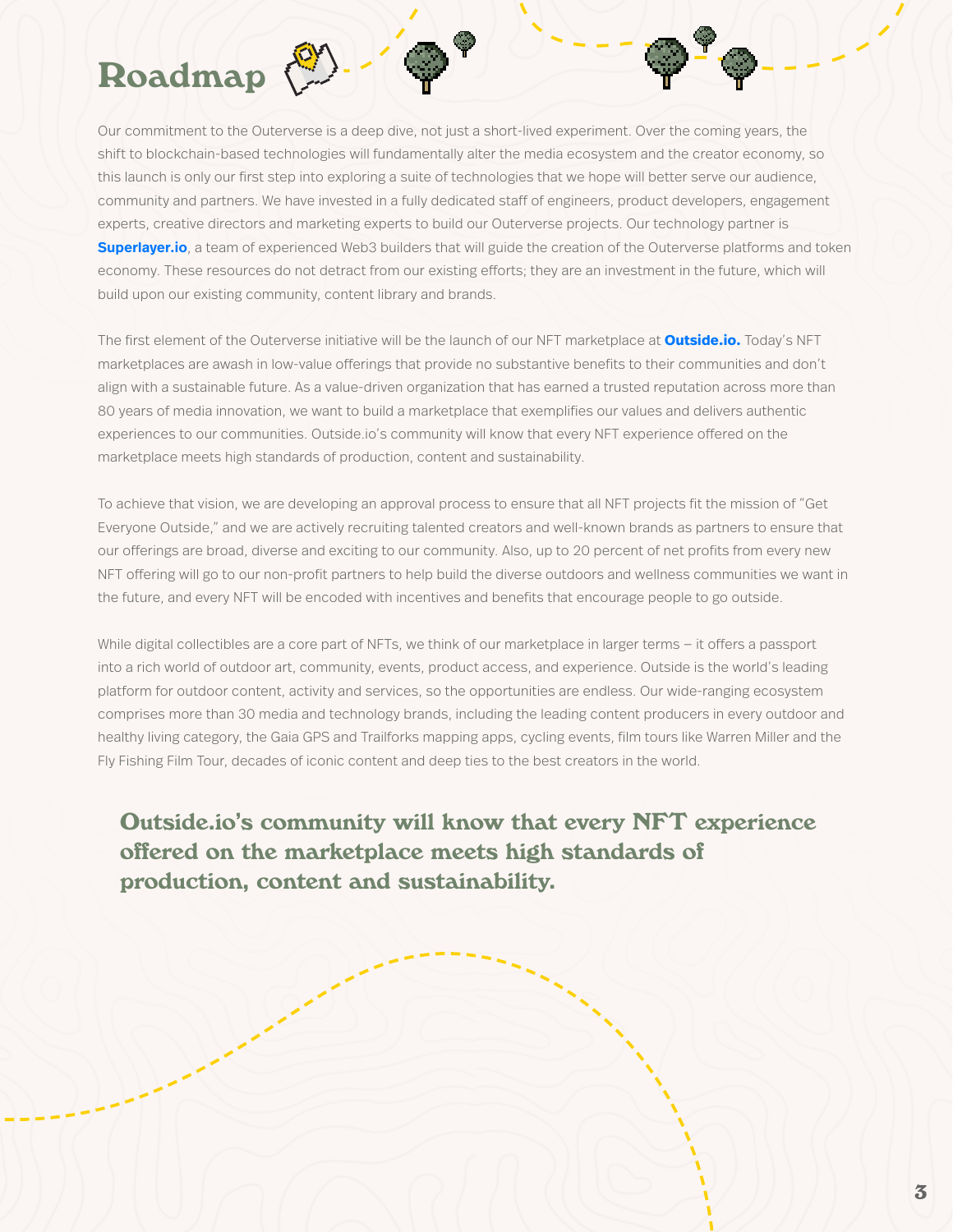## Roadmap

Our commitment to the Outerverse is a deep dive, not just a short-lived experiment. Over the coming years, the shift to blockchain-based technologies will fundamentally alter the media ecosystem and the creator economy, so this launch is only our first step into exploring a suite of technologies that we hope will better serve our audience, community and partners. We have invested in a fully dedicated staff of engineers, product developers, engagement experts, creative directors and marketing experts to build our Outerverse projects. Our technology partner is **Superlayer.io**, a team of experienced Web3 builders that will guide the creation of the Outerverse platforms and token economy. These resources do not detract from our existing efforts; they are an investment in the future, which will build upon our existing community, content library and brands.

The first element of the Outerverse initiative will be the launch of our NFT marketplace at **Outside.io.** Today's NFT marketplaces are awash in low-value offerings that provide no substantive benefits to their communities and don't align with a sustainable future. As a value-driven organization that has earned a trusted reputation across more than 80 years of media innovation, we want to build a marketplace that exemplifies our values and delivers authentic experiences to our communities. Outside.io's community will know that every NFT experience offered on the marketplace meets high standards of production, content and sustainability.

To achieve that vision, we are developing an approval process to ensure that all NFT projects fit the mission of "Get Everyone Outside," and we are actively recruiting talented creators and well-known brands as partners to ensure that our offerings are broad, diverse and exciting to our community. Also, up to 20 percent of net profits from every new NFT offering will go to our non-profit partners to help build the diverse outdoors and wellness communities we want in the future, and every NFT will be encoded with incentives and benefits that encourage people to go outside.

While digital collectibles are a core part of NFTs, we think of our marketplace in larger terms – it offers a passport into a rich world of outdoor art, community, events, product access, and experience. Outside is the world's leading platform for outdoor content, activity and services, so the opportunities are endless. Our wide-ranging ecosystem comprises more than 30 media and technology brands, including the leading content producers in every outdoor and healthy living category, the Gaia GPS and Trailforks mapping apps, cycling events, film tours like Warren Miller and the Fly Fishing Film Tour, decades of iconic content and deep ties to the best creators in the world.

Outside.io's community will know that every NFT experience offered on the marketplace meets high standards of production, content and sustainability.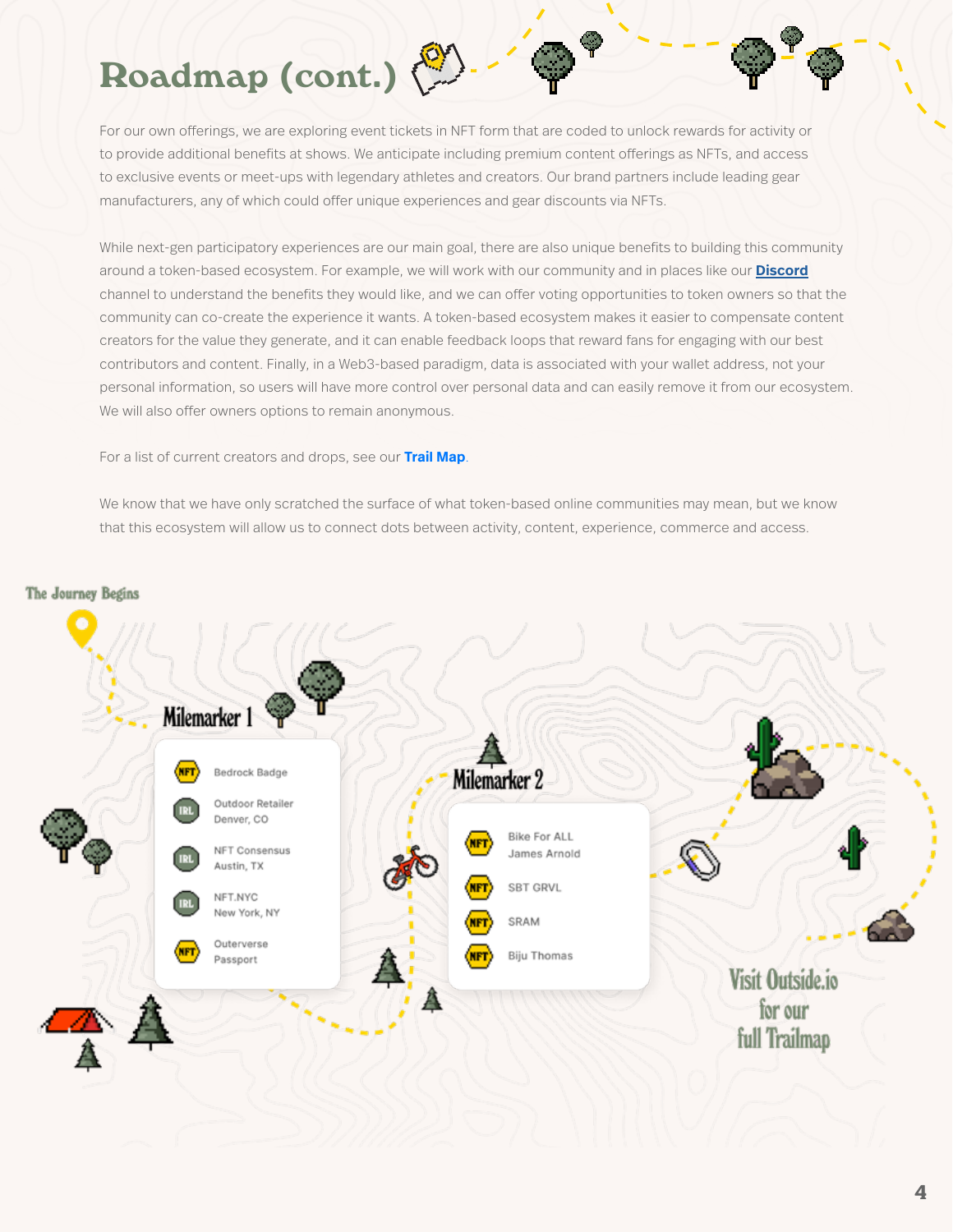# Roadmap (cont.)

For our own offerings, we are exploring event tickets in NFT form that are coded to unlock rewards for activity or to provide additional benefits at shows. We anticipate including premium content offerings as NFTs, and access to exclusive events or meet-ups with legendary athletes and creators. Our brand partners include leading gear manufacturers, any of which could offer unique experiences and gear discounts via NFTs.

While next-gen participatory experiences are our main goal, there are also unique benefits to building this community around a token-based ecosystem. For example, we will work with our community and in places like our **Discord** channel to understand the benefits they would like, and we can offer voting opportunities to token owners so that the community can co-create the experience it wants. A token-based ecosystem makes it easier to compensate content creators for the value they generate, and it can enable feedback loops that reward fans for engaging with our best contributors and content. Finally, in a Web3-based paradigm, data is associated with your wallet address, not your personal information, so users will have more control over personal data and can easily remove it from our ecosystem. We will also offer owners options to remain anonymous.

For a list of current creators and drops, see our **Trail Map**.

We know that we have only scratched the surface of what token-based online communities may mean, but we know that this ecosystem will allow us to connect dots between activity, content, experience, commerce and access.



4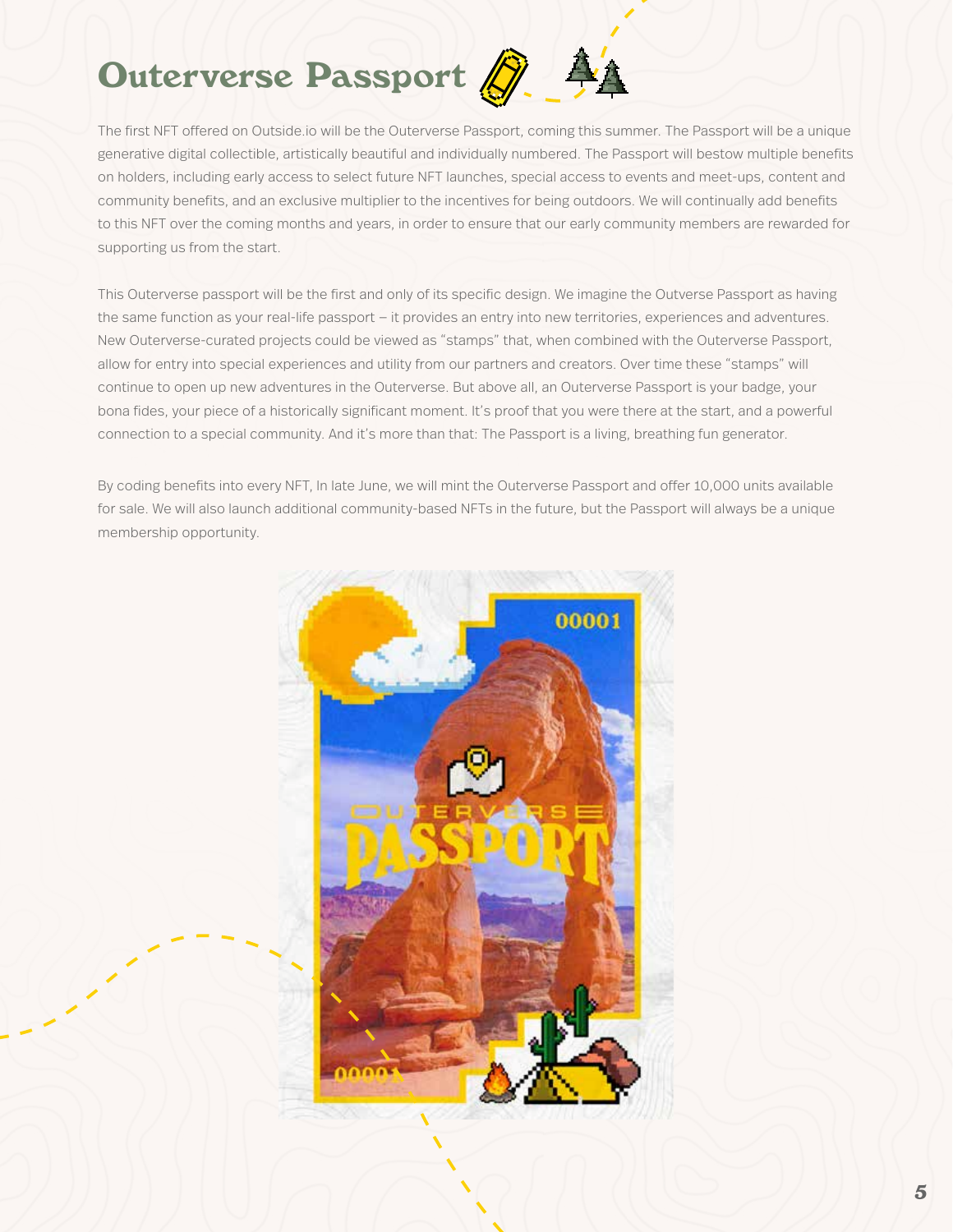# Outerverse Passport



The first NFT offered on Outside.io will be the Outerverse Passport, coming this summer. The Passport will be a unique generative digital collectible, artistically beautiful and individually numbered. The Passport will bestow multiple benefits on holders, including early access to select future NFT launches, special access to events and meet-ups, content and community benefits, and an exclusive multiplier to the incentives for being outdoors. We will continually add benefits to this NFT over the coming months and years, in order to ensure that our early community members are rewarded for supporting us from the start.

This Outerverse passport will be the first and only of its specific design. We imagine the Outverse Passport as having the same function as your real-life passport — it provides an entry into new territories, experiences and adventures. New Outerverse-curated projects could be viewed as "stamps" that, when combined with the Outerverse Passport, allow for entry into special experiences and utility from our partners and creators. Over time these "stamps" will continue to open up new adventures in the Outerverse. But above all, an Outerverse Passport is your badge, your bona fides, your piece of a historically significant moment. It's proof that you were there at the start, and a powerful connection to a special community. And it's more than that: The Passport is a living, breathing fun generator.

By coding benefits into every NFT, In late June, we will mint the Outerverse Passport and offer 10,000 units available for sale. We will also launch additional community-based NFTs in the future, but the Passport will always be a unique membership opportunity.

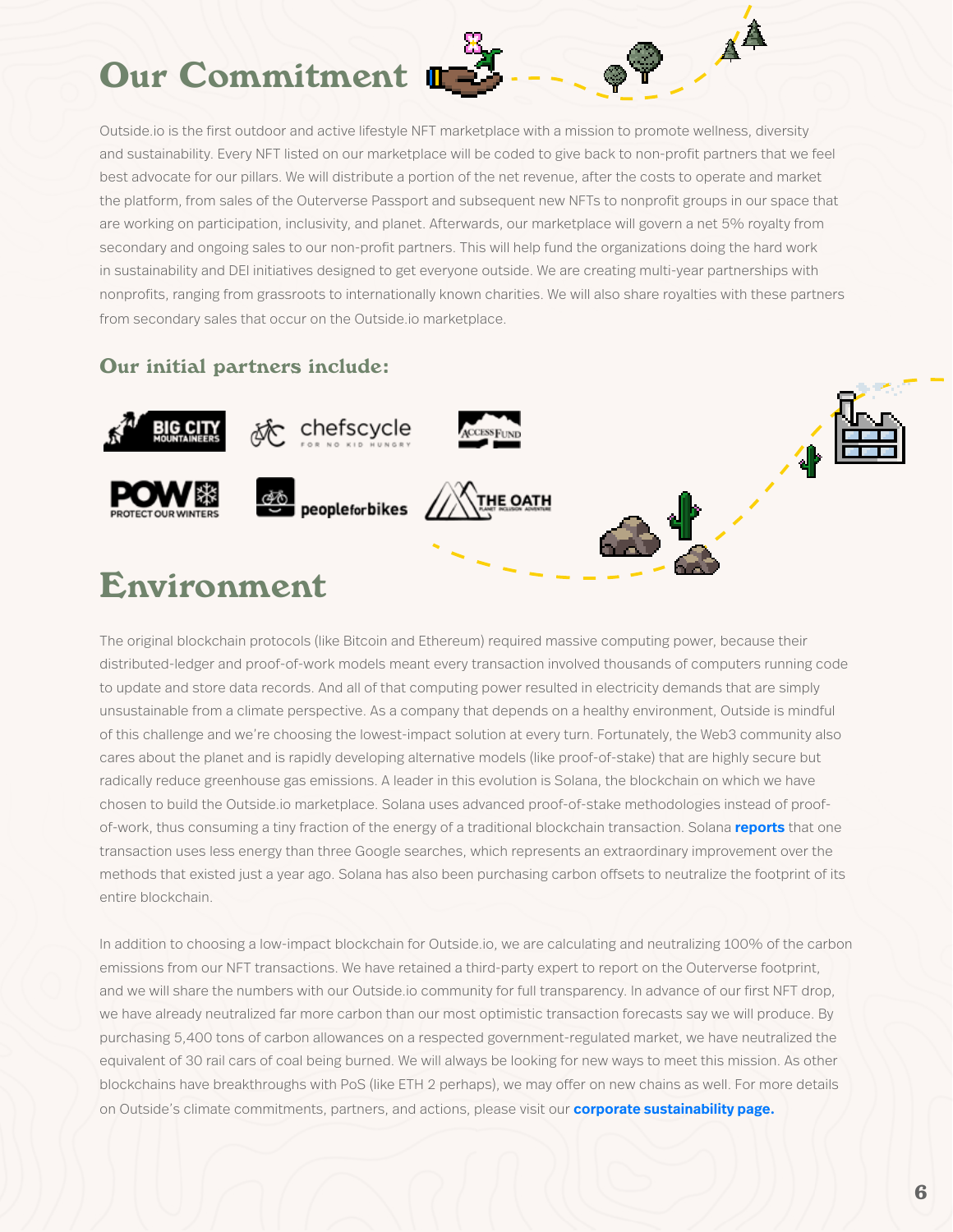## Our Commitment

Outside.io is the first outdoor and active lifestyle NFT marketplace with a mission to promote wellness, diversity and sustainability. Every NFT listed on our marketplace will be coded to give back to non-profit partners that we feel best advocate for our pillars. We will distribute a portion of the net revenue, after the costs to operate and market the platform, from sales of the Outerverse Passport and subsequent new NFTs to nonprofit groups in our space that are working on participation, inclusivity, and planet. Afterwards, our marketplace will govern a net 5% royalty from secondary and ongoing sales to our non-profit partners. This will help fund the organizations doing the hard work in sustainability and DEI initiatives designed to get everyone outside. We are creating multi-year partnerships with nonprofits, ranging from grassroots to internationally known charities. We will also share royalties with these partners from secondary sales that occur on the Outside.io marketplace.

 $\mathbf{A}^{\mathbf{A}}$ 

## Our initial partners include:



## Environment

The original blockchain protocols (like Bitcoin and Ethereum) required massive computing power, because their distributed-ledger and proof-of-work models meant every transaction involved thousands of computers running code to update and store data records. And all of that computing power resulted in electricity demands that are simply unsustainable from a climate perspective. As a company that depends on a healthy environment, Outside is mindful of this challenge and we're choosing the lowest-impact solution at every turn. Fortunately, the Web3 community also cares about the planet and is rapidly developing alternative models (like proof-of-stake) that are highly secure but radically reduce greenhouse gas emissions. A leader in this evolution is Solana, the blockchain on which we have chosen to build the Outside.io marketplace. Solana uses advanced proof-of-stake methodologies instead of proofof-work, thus consuming a tiny fraction of the energy of a traditional blockchain transaction. Solana **reports** that one transaction uses less energy than three Google searches, which represents an extraordinary improvement over the methods that existed just a year ago. Solana has also been purchasing carbon offsets to neutralize the footprint of its entire blockchain.

In addition to choosing a low-impact blockchain for Outside.io, we are calculating and neutralizing 100% of the carbon emissions from our NFT transactions. We have retained a third-party expert to report on the Outerverse footprint, and we will share the numbers with our Outside.io community for full transparency. In advance of our first NFT drop, we have already neutralized far more carbon than our most optimistic transaction forecasts say we will produce. By purchasing 5,400 tons of carbon allowances on a respected government-regulated market, we have neutralized the equivalent of 30 rail cars of coal being burned. We will always be looking for new ways to meet this mission. As other blockchains have breakthroughs with PoS (like ETH 2 perhaps), we may offer on new chains as well. For more details on Outside's climate commitments, partners, and actions, please visit our **corporate sustainability page.**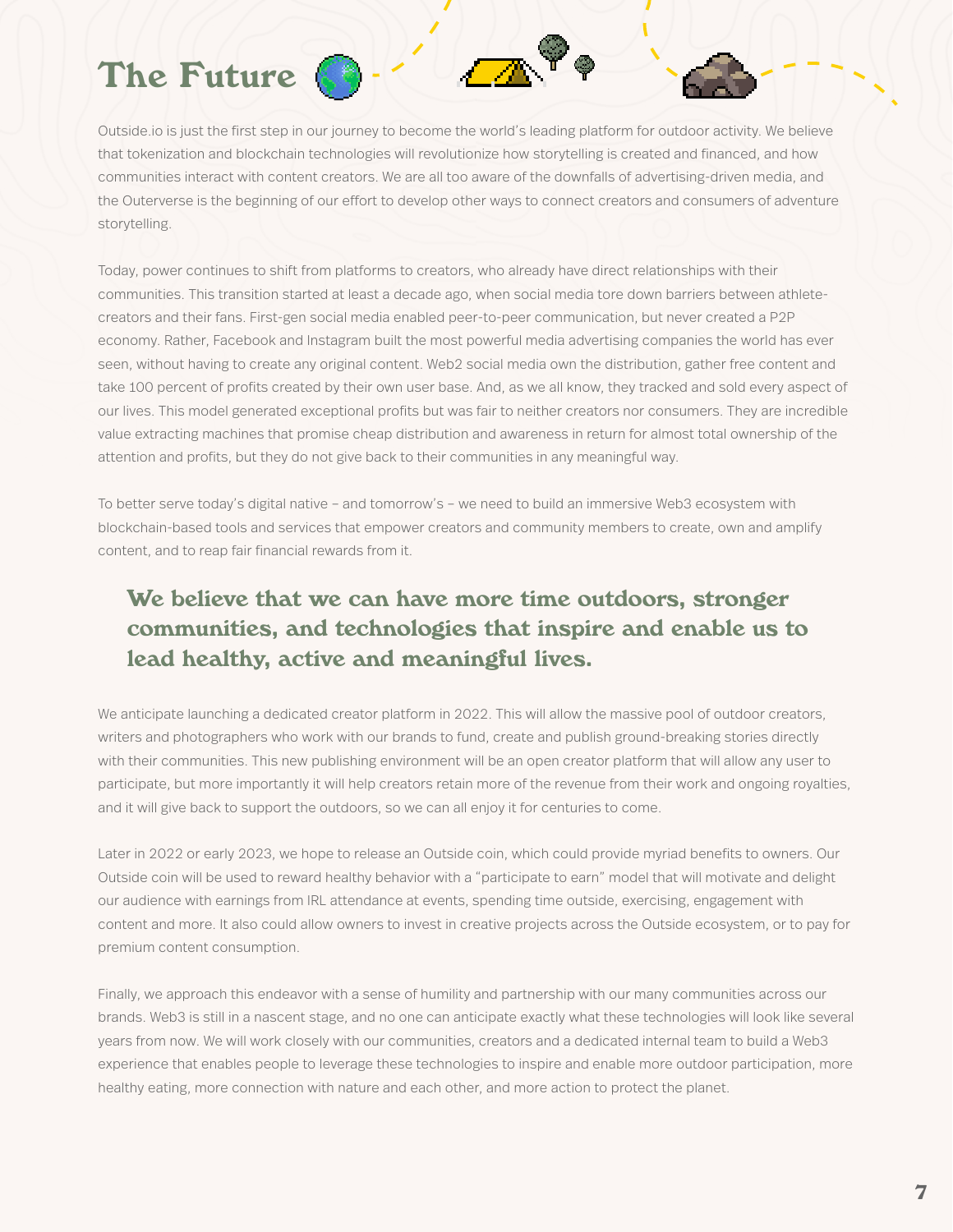

Outside.io is just the first step in our journey to become the world's leading platform for outdoor activity. We believe that tokenization and blockchain technologies will revolutionize how storytelling is created and financed, and how communities interact with content creators. We are all too aware of the downfalls of advertising-driven media, and the Outerverse is the beginning of our effort to develop other ways to connect creators and consumers of adventure storytelling.

Today, power continues to shift from platforms to creators, who already have direct relationships with their communities. This transition started at least a decade ago, when social media tore down barriers between athletecreators and their fans. First-gen social media enabled peer-to-peer communication, but never created a P2P economy. Rather, Facebook and Instagram built the most powerful media advertising companies the world has ever seen, without having to create any original content. Web2 social media own the distribution, gather free content and take 100 percent of profits created by their own user base. And, as we all know, they tracked and sold every aspect of our lives. This model generated exceptional profits but was fair to neither creators nor consumers. They are incredible value extracting machines that promise cheap distribution and awareness in return for almost total ownership of the attention and profits, but they do not give back to their communities in any meaningful way.

To better serve today's digital native – and tomorrow's – we need to build an immersive Web3 ecosystem with blockchain-based tools and services that empower creators and community members to create, own and amplify content, and to reap fair financial rewards from it.

## We believe that we can have more time outdoors, stronger communities, and technologies that inspire and enable us to lead healthy, active and meaningful lives.

We anticipate launching a dedicated creator platform in 2022. This will allow the massive pool of outdoor creators, writers and photographers who work with our brands to fund, create and publish ground-breaking stories directly with their communities. This new publishing environment will be an open creator platform that will allow any user to participate, but more importantly it will help creators retain more of the revenue from their work and ongoing royalties, and it will give back to support the outdoors, so we can all enjoy it for centuries to come.

Later in 2022 or early 2023, we hope to release an Outside coin, which could provide myriad benefits to owners. Our Outside coin will be used to reward healthy behavior with a "participate to earn" model that will motivate and delight our audience with earnings from IRL attendance at events, spending time outside, exercising, engagement with content and more. It also could allow owners to invest in creative projects across the Outside ecosystem, or to pay for premium content consumption.

Finally, we approach this endeavor with a sense of humility and partnership with our many communities across our brands. Web3 is still in a nascent stage, and no one can anticipate exactly what these technologies will look like several years from now. We will work closely with our communities, creators and a dedicated internal team to build a Web3 experience that enables people to leverage these technologies to inspire and enable more outdoor participation, more healthy eating, more connection with nature and each other, and more action to protect the planet.